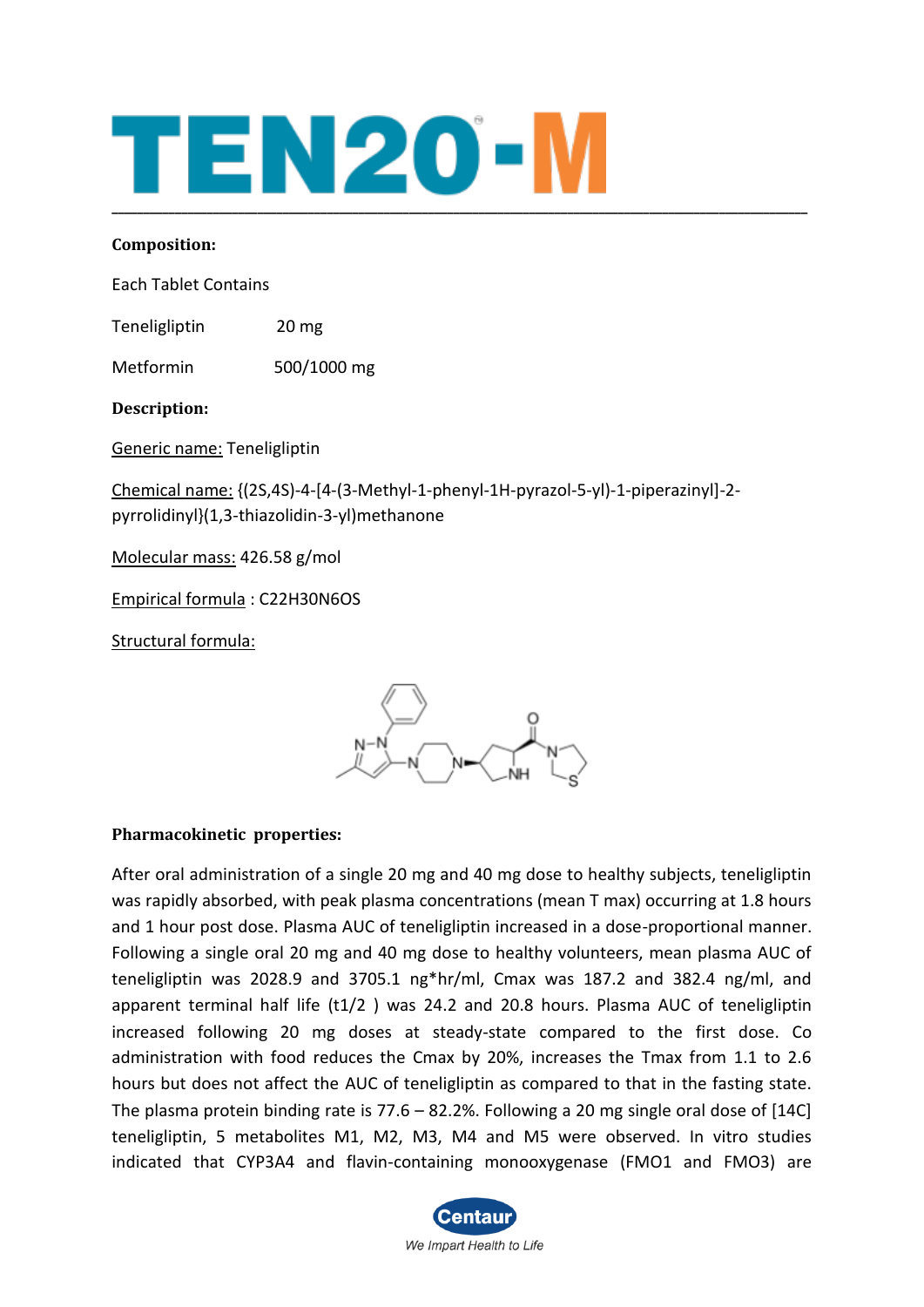# TEN20-I **\_\_\_\_\_\_\_\_\_\_\_\_\_\_\_\_\_\_\_\_\_\_\_\_\_\_\_\_\_\_\_\_\_\_\_\_\_\_\_\_\_\_\_\_\_\_\_\_\_\_\_\_\_\_\_\_\_\_\_\_\_\_\_\_\_\_\_\_\_\_\_\_\_\_\_\_\_\_\_\_\_\_\_\_\_\_\_\_\_\_\_\_\_\_\_\_\_\_\_\_\_\_\_\_\_\_\_\_\_\_**

#### **Composition:**

Each Tablet Contains

Teneligliptin 20 mg

Metformin 500/1000 mg

**Description:**

Generic name: Teneligliptin

Chemical name: {(2S,4S)-4-[4-(3-Methyl-1-phenyl-1H-pyrazol-5-yl)-1-piperazinyl]-2 pyrrolidinyl}(1,3-thiazolidin-3-yl)methanone

Molecular mass: 426.58 g/mol

Empirical formula : C22H30N6OS

Structural formula:



# **Pharmacokinetic properties:**

After oral administration of a single 20 mg and 40 mg dose to healthy subjects, teneligliptin was rapidly absorbed, with peak plasma concentrations (mean T max) occurring at 1.8 hours and 1 hour post dose. Plasma AUC of teneligliptin increased in a dose-proportional manner. Following a single oral 20 mg and 40 mg dose to healthy volunteers, mean plasma AUC of teneligliptin was 2028.9 and 3705.1 ng\*hr/ml, Cmax was 187.2 and 382.4 ng/ml, and apparent terminal half life (t1/2 ) was 24.2 and 20.8 hours. Plasma AUC of teneligliptin increased following 20 mg doses at steady-state compared to the first dose. Co administration with food reduces the Cmax by 20%, increases the Tmax from 1.1 to 2.6 hours but does not affect the AUC of teneligliptin as compared to that in the fasting state. The plasma protein binding rate is 77.6 – 82.2%. Following a 20 mg single oral dose of [14C] teneligliptin, 5 metabolites M1, M2, M3, M4 and M5 were observed. In vitro studies indicated that CYP3A4 and flavin-containing monooxygenase (FMO1 and FMO3) are

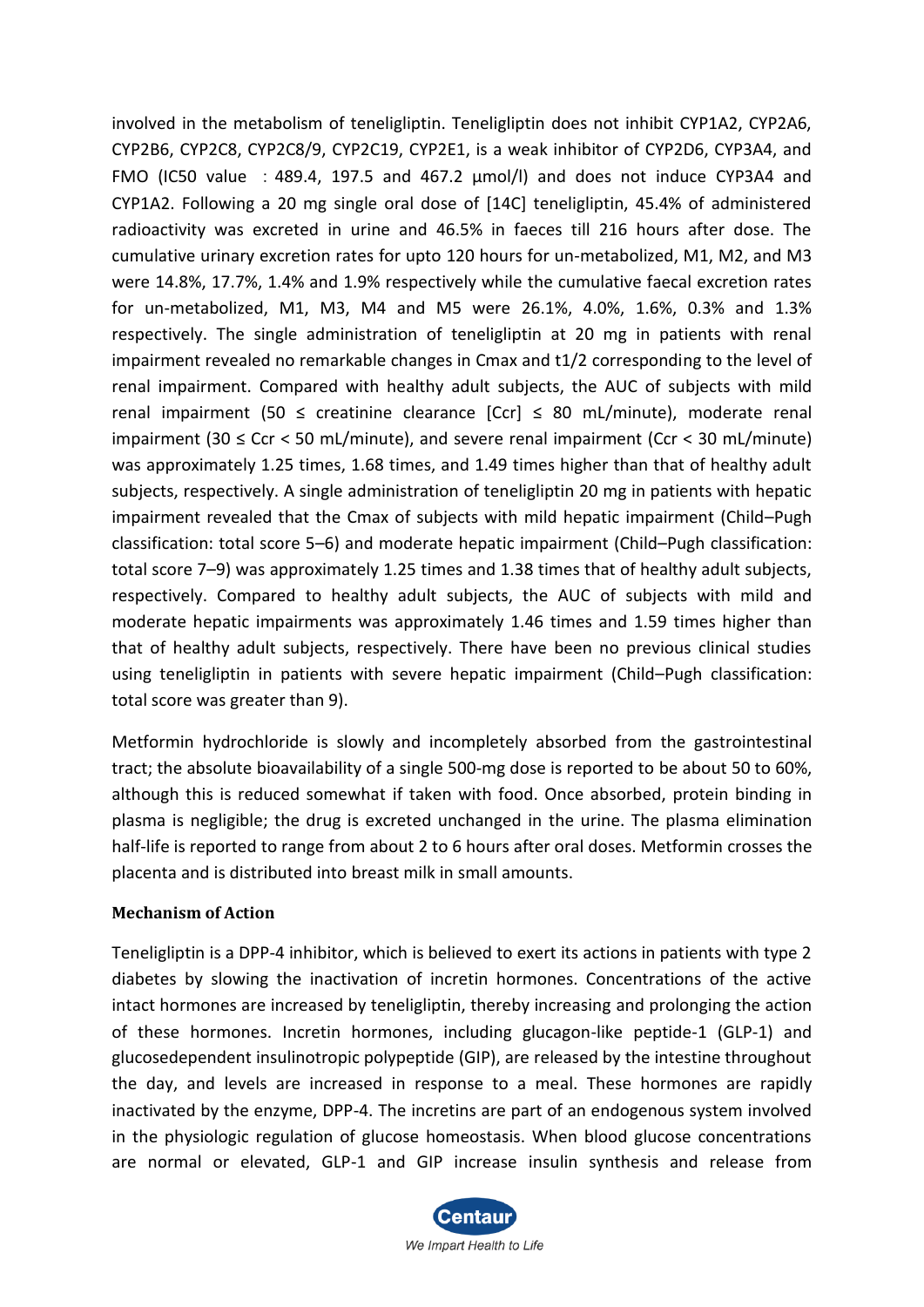involved in the metabolism of teneligliptin. Teneligliptin does not inhibit CYP1A2, CYP2A6, CYP2B6, CYP2C8, CYP2C8/9, CYP2C19, CYP2E1, is a weak inhibitor of CYP2D6, CYP3A4, and FMO (IC50 value :489.4, 197.5 and 467.2 µmol/l) and does not induce CYP3A4 and CYP1A2. Following a 20 mg single oral dose of [14C] teneligliptin, 45.4% of administered radioactivity was excreted in urine and 46.5% in faeces till 216 hours after dose. The cumulative urinary excretion rates for upto 120 hours for un-metabolized, M1, M2, and M3 were 14.8%, 17.7%, 1.4% and 1.9% respectively while the cumulative faecal excretion rates for un-metabolized, M1, M3, M4 and M5 were 26.1%, 4.0%, 1.6%, 0.3% and 1.3% respectively. The single administration of teneligliptin at 20 mg in patients with renal impairment revealed no remarkable changes in Cmax and t1/2 corresponding to the level of renal impairment. Compared with healthy adult subjects, the AUC of subjects with mild renal impairment (50  $\leq$  creatinine clearance  $[Cr] \leq 80$  mL/minute), moderate renal impairment (30  $\leq$  Ccr  $\lt$  50 mL/minute), and severe renal impairment (Ccr  $\lt$  30 mL/minute) was approximately 1.25 times, 1.68 times, and 1.49 times higher than that of healthy adult subjects, respectively. A single administration of teneligliptin 20 mg in patients with hepatic impairment revealed that the Cmax of subjects with mild hepatic impairment (Child–Pugh classification: total score 5–6) and moderate hepatic impairment (Child–Pugh classification: total score 7–9) was approximately 1.25 times and 1.38 times that of healthy adult subjects, respectively. Compared to healthy adult subjects, the AUC of subjects with mild and moderate hepatic impairments was approximately 1.46 times and 1.59 times higher than that of healthy adult subjects, respectively. There have been no previous clinical studies using teneligliptin in patients with severe hepatic impairment (Child–Pugh classification: total score was greater than 9).

Metformin hydrochloride is slowly and incompletely absorbed from the gastrointestinal tract; the absolute bioavailability of a single 500-mg dose is reported to be about 50 to 60%, although this is reduced somewhat if taken with food. Once absorbed, protein binding in plasma is negligible; the drug is excreted unchanged in the urine. The plasma elimination half-life is reported to range from about 2 to 6 hours after oral doses. Metformin crosses the placenta and is distributed into breast milk in small amounts.

#### **Mechanism of Action**

Teneligliptin is a DPP-4 inhibitor, which is believed to exert its actions in patients with type 2 diabetes by slowing the inactivation of incretin hormones. Concentrations of the active intact hormones are increased by teneligliptin, thereby increasing and prolonging the action of these hormones. Incretin hormones, including glucagon-like peptide-1 (GLP-1) and glucosedependent insulinotropic polypeptide (GIP), are released by the intestine throughout the day, and levels are increased in response to a meal. These hormones are rapidly inactivated by the enzyme, DPP-4. The incretins are part of an endogenous system involved in the physiologic regulation of glucose homeostasis. When blood glucose concentrations are normal or elevated, GLP-1 and GIP increase insulin synthesis and release from

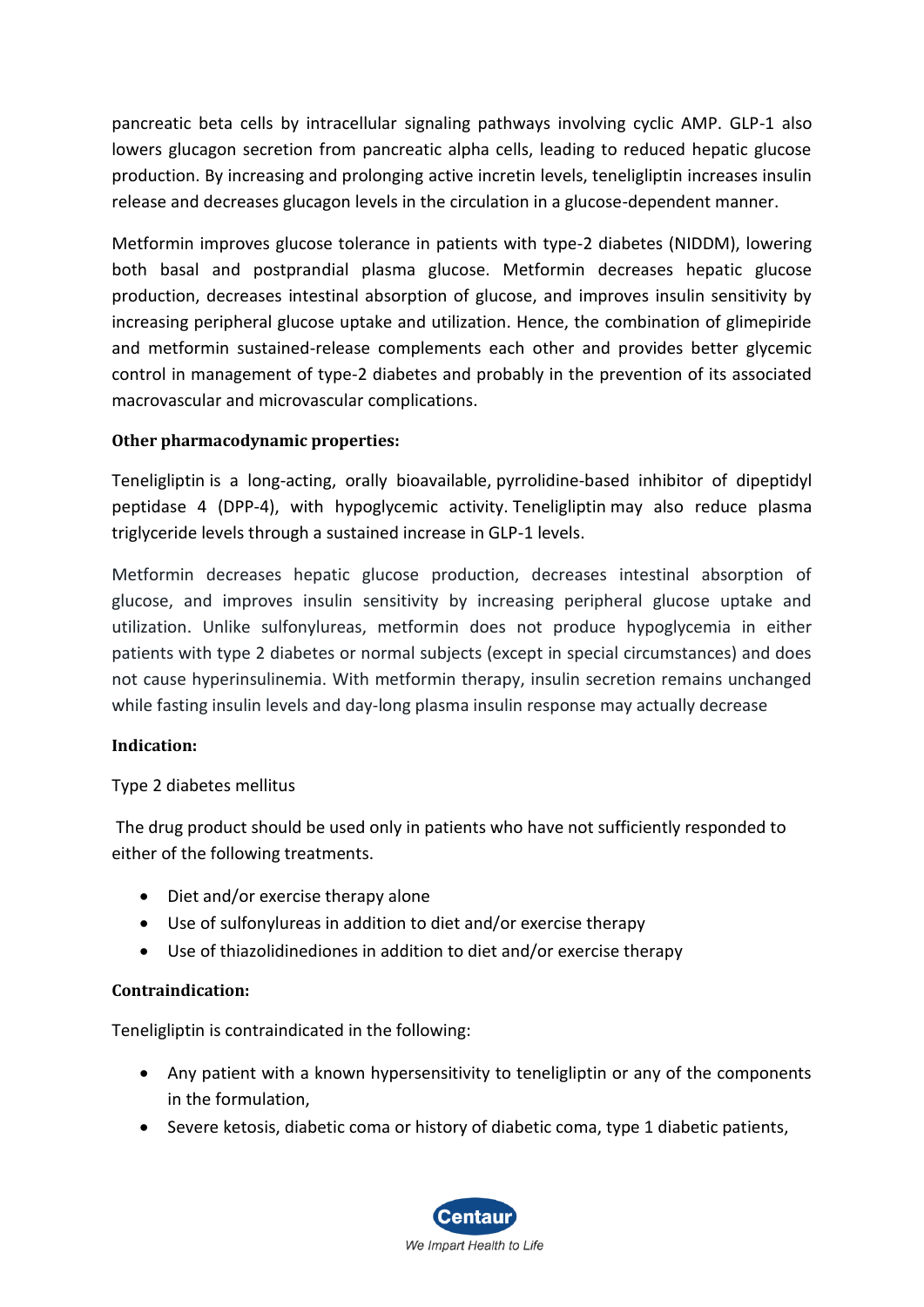pancreatic beta cells by intracellular signaling pathways involving cyclic AMP. GLP-1 also lowers glucagon secretion from pancreatic alpha cells, leading to reduced hepatic glucose production. By increasing and prolonging active incretin levels, teneligliptin increases insulin release and decreases glucagon levels in the circulation in a glucose-dependent manner.

Metformin improves glucose tolerance in patients with type-2 diabetes (NIDDM), lowering both basal and postprandial plasma glucose. Metformin decreases hepatic glucose production, decreases intestinal absorption of glucose, and improves insulin sensitivity by increasing peripheral glucose uptake and utilization. Hence, the combination of glimepiride and metformin sustained-release complements each other and provides better glycemic control in management of type-2 diabetes and probably in the prevention of its associated macrovascular and microvascular complications.

# **Other pharmacodynamic properties:**

Teneligliptin is a long-acting, orally bioavailable, [pyrrolidine-](https://pubchem.ncbi.nlm.nih.gov/compound/pyrrolidine)based inhibitor of dipeptidyl peptidase 4 (DPP-4), with hypoglycemic activity. Teneligliptin may also reduce plasma triglyceride levels through a sustained increase in GLP-1 levels.

Metformin decreases hepatic glucose production, decreases intestinal absorption of glucose, and improves insulin sensitivity by increasing peripheral glucose uptake and utilization. Unlike sulfonylureas, metformin does not produce hypoglycemia in either patients with type 2 diabetes or normal subjects (except in special circumstances) and does not cause hyperinsulinemia. With metformin therapy, insulin secretion remains unchanged while fasting insulin levels and day-long plasma insulin response may actually decrease

# **Indication:**

# Type 2 diabetes mellitus

The drug product should be used only in patients who have not sufficiently responded to either of the following treatments.

- Diet and/or exercise therapy alone
- Use of sulfonylureas in addition to diet and/or exercise therapy
- Use of thiazolidinediones in addition to diet and/or exercise therapy

# **Contraindication:**

Teneligliptin is contraindicated in the following:

- Any patient with a known hypersensitivity to teneligliptin or any of the components in the formulation,
- Severe ketosis, diabetic coma or history of diabetic coma, type 1 diabetic patients,

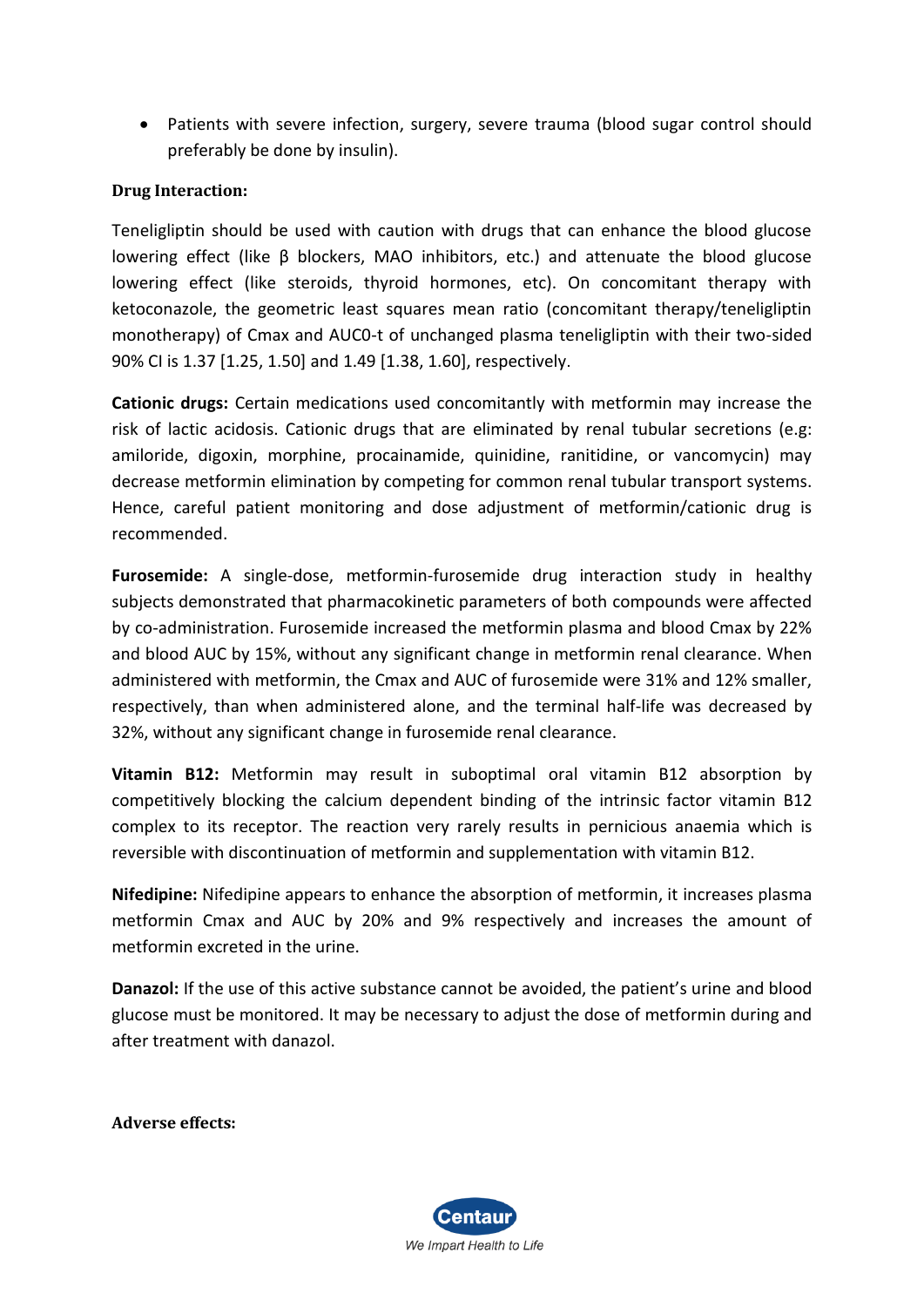• Patients with severe infection, surgery, severe trauma (blood sugar control should preferably be done by insulin).

## **Drug Interaction:**

Teneligliptin should be used with caution with drugs that can enhance the blood glucose lowering effect (like β blockers, MAO inhibitors, etc.) and attenuate the blood glucose lowering effect (like steroids, thyroid hormones, etc). On concomitant therapy with ketoconazole, the geometric least squares mean ratio (concomitant therapy/teneligliptin monotherapy) of Cmax and AUC0-t of unchanged plasma teneligliptin with their two-sided 90% CI is 1.37 [1.25, 1.50] and 1.49 [1.38, 1.60], respectively.

**Cationic drugs:** Certain medications used concomitantly with metformin may increase the risk of lactic acidosis. Cationic drugs that are eliminated by renal tubular secretions (e.g: amiloride, digoxin, morphine, procainamide, quinidine, ranitidine, or vancomycin) may decrease metformin elimination by competing for common renal tubular transport systems. Hence, careful patient monitoring and dose adjustment of metformin/cationic drug is recommended.

**Furosemide:** A single-dose, metformin-furosemide drug interaction study in healthy subjects demonstrated that pharmacokinetic parameters of both compounds were affected by co-administration. Furosemide increased the metformin plasma and blood Cmax by 22% and blood AUC by 15%, without any significant change in metformin renal clearance. When administered with metformin, the Cmax and AUC of furosemide were 31% and 12% smaller, respectively, than when administered alone, and the terminal half-life was decreased by 32%, without any significant change in furosemide renal clearance.

**Vitamin B12:** Metformin may result in suboptimal oral vitamin B12 absorption by competitively blocking the calcium dependent binding of the intrinsic factor vitamin B12 complex to its receptor. The reaction very rarely results in pernicious anaemia which is reversible with discontinuation of metformin and supplementation with vitamin B12.

**Nifedipine:** Nifedipine appears to enhance the absorption of metformin, it increases plasma metformin Cmax and AUC by 20% and 9% respectively and increases the amount of metformin excreted in the urine.

**Danazol:** If the use of this active substance cannot be avoided, the patient's urine and blood glucose must be monitored. It may be necessary to adjust the dose of metformin during and after treatment with danazol.

**Adverse effects:**

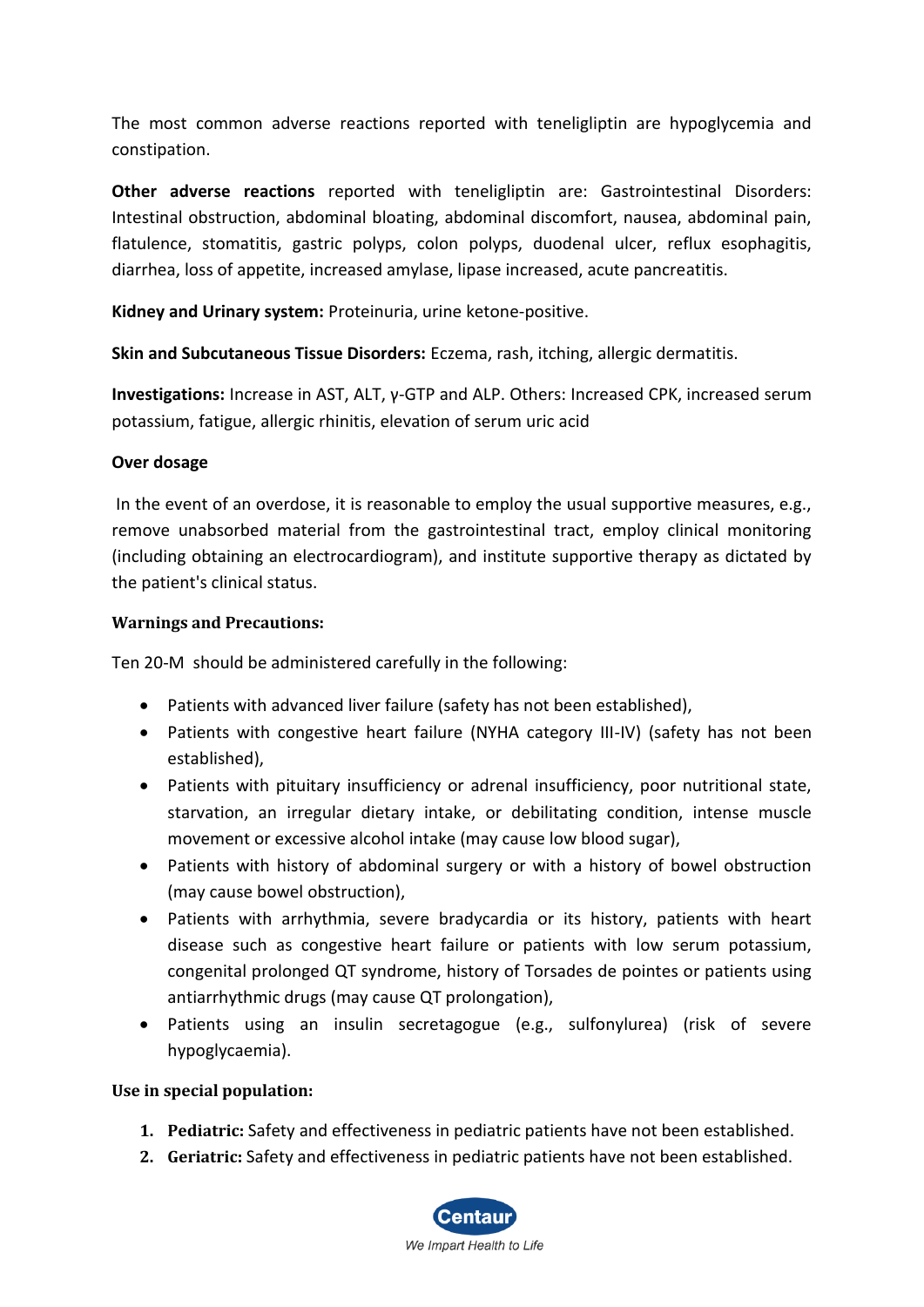The most common adverse reactions reported with teneligliptin are hypoglycemia and constipation.

**Other adverse reactions** reported with teneligliptin are: Gastrointestinal Disorders: Intestinal obstruction, abdominal bloating, abdominal discomfort, nausea, abdominal pain, flatulence, stomatitis, gastric polyps, colon polyps, duodenal ulcer, reflux esophagitis, diarrhea, loss of appetite, increased amylase, lipase increased, acute pancreatitis.

**Kidney and Urinary system:** Proteinuria, urine ketone-positive.

**Skin and Subcutaneous Tissue Disorders:** Eczema, rash, itching, allergic dermatitis.

**Investigations:** Increase in AST, ALT, γ-GTP and ALP. Others: Increased CPK, increased serum potassium, fatigue, allergic rhinitis, elevation of serum uric acid

## **Over dosage**

In the event of an overdose, it is reasonable to employ the usual supportive measures, e.g., remove unabsorbed material from the gastrointestinal tract, employ clinical monitoring (including obtaining an electrocardiogram), and institute supportive therapy as dictated by the patient's clinical status.

## **Warnings and Precautions:**

Ten 20-M should be administered carefully in the following:

- Patients with advanced liver failure (safety has not been established),
- Patients with congestive heart failure (NYHA category III-IV) (safety has not been established),
- Patients with pituitary insufficiency or adrenal insufficiency, poor nutritional state, starvation, an irregular dietary intake, or debilitating condition, intense muscle movement or excessive alcohol intake (may cause low blood sugar),
- Patients with history of abdominal surgery or with a history of bowel obstruction (may cause bowel obstruction),
- Patients with arrhythmia, severe bradycardia or its history, patients with heart disease such as congestive heart failure or patients with low serum potassium, congenital prolonged QT syndrome, history of Torsades de pointes or patients using antiarrhythmic drugs (may cause QT prolongation),
- Patients using an insulin secretagogue (e.g., sulfonylurea) (risk of severe hypoglycaemia).

#### **Use in special population:**

- **1. Pediatric:** Safety and effectiveness in pediatric patients have not been established.
- **2. Geriatric:** Safety and effectiveness in pediatric patients have not been established.